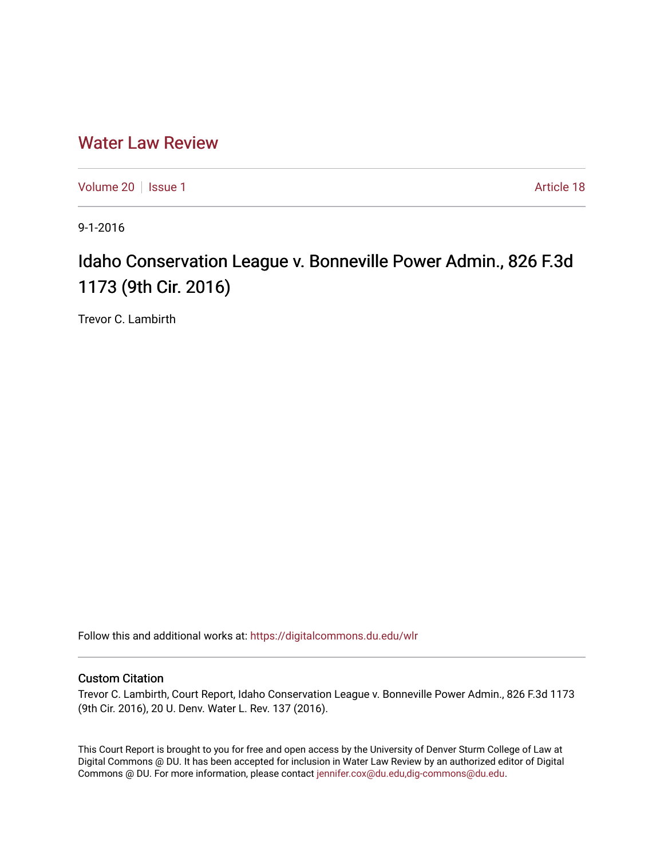## [Water Law Review](https://digitalcommons.du.edu/wlr)

[Volume 20](https://digitalcommons.du.edu/wlr/vol20) | [Issue 1](https://digitalcommons.du.edu/wlr/vol20/iss1) Article 18

9-1-2016

# Idaho Conservation League v. Bonneville Power Admin., 826 F.3d 1173 (9th Cir. 2016)

Trevor C. Lambirth

Follow this and additional works at: [https://digitalcommons.du.edu/wlr](https://digitalcommons.du.edu/wlr?utm_source=digitalcommons.du.edu%2Fwlr%2Fvol20%2Fiss1%2F18&utm_medium=PDF&utm_campaign=PDFCoverPages) 

### Custom Citation

Trevor C. Lambirth, Court Report, Idaho Conservation League v. Bonneville Power Admin., 826 F.3d 1173 (9th Cir. 2016), 20 U. Denv. Water L. Rev. 137 (2016).

This Court Report is brought to you for free and open access by the University of Denver Sturm College of Law at Digital Commons @ DU. It has been accepted for inclusion in Water Law Review by an authorized editor of Digital Commons @ DU. For more information, please contact [jennifer.cox@du.edu,dig-commons@du.edu.](mailto:jennifer.cox@du.edu,dig-commons@du.edu)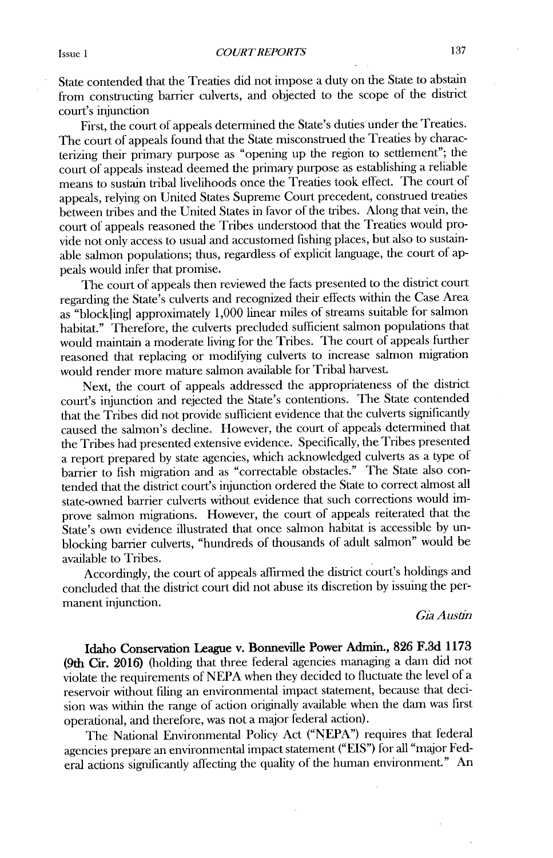State contended that the Treaties **did** not impose a duty on the State to abstain from constructing barrier culverts, and objected to the scope of the district court's injunction

First, the court of appeals determined the State's duties under the Treaties. The court of appeals found that the State misconstrued the Treaties **by** characterizing their primary purpose as "opening up the region to settlement"; the court of appeals instead deemed the primary purpose as establishing a reliable means to sustain tribal livelihoods once the Treaties took effect. The court of appeals, relying on United States Supreme Court precedent, construed treaties between tribes and the United States in favor of the tribes. Along that vein, the court of appeals reasoned the Tribes understood that the Treaties would provide not only access to usual and accustomed fishing places, but also to sustainable salmon populations; thus, regardless of explicit language, the court of appeals would infer that promise.

The court of appeals then reviewed the facts presented to the district court regarding the State's culverts and recognized their effects within **the** Case Area as "blockling] approximately **1,000** linear miles of streams suitable for salmon habitat." Therefore, the culverts precluded sufficient salmon populations that would maintain a moderate living for the Tribes. The court of appeals further reasoned that replacing or modifying culverts to increase salmon migration would render more mature salmon available for Tribal harvest.

Next, the court of appeals addressed the appropriateness of the district court's injunction and rejected the State's contentions. The State contended that the Tribes **did** not provide sufficient evidence that the culverts significantly caused the salmon's decline. However, the court of appeals determined that the Tribes had presented extensive evidence. Specifically, the Tribes presented a report prepared **by** state agencies, which acknowledged culverts as a type of barrier to fish migration and as "correctable obstacles." The State also contended that the district court's injunction ordered the State to correct almost all state-owned barrier culverts without evidence that such corrections would **im**prove salmon migrations. However, the court of appeals reiterated that the State's own evidence illustrated that once salmon habitat is accessible **by** unblocking barrier culverts, "hundreds of thousands of adult salmon" would **be** available to Tribes.

Accordingly, the court of appeals affirmed the district court's holdings and concluded that the district court **did** not abuse its discretion **by** issuing the permanent injunction.

#### *Gia Austin*

Idaho Conservation **League v. Bonneville Power Admin., 826 F.3d 1173** (9th **Cir. 2016)** (holding that three federal agencies managing a dam **did** not violate the requirements of **NEPA** when they decided to fluctuate the level of a reservoir without filing an environmental impact statement, because that decision was within the range of action originally available when the dam was first operational, and therefore, was not a major federal action).

The National Environmental Policy Act **("NEPA")** requires that federal agencies prepare an environmental impact statement **("EIS")** for all "major Federal actions significantly affecting the quality of the human environment." An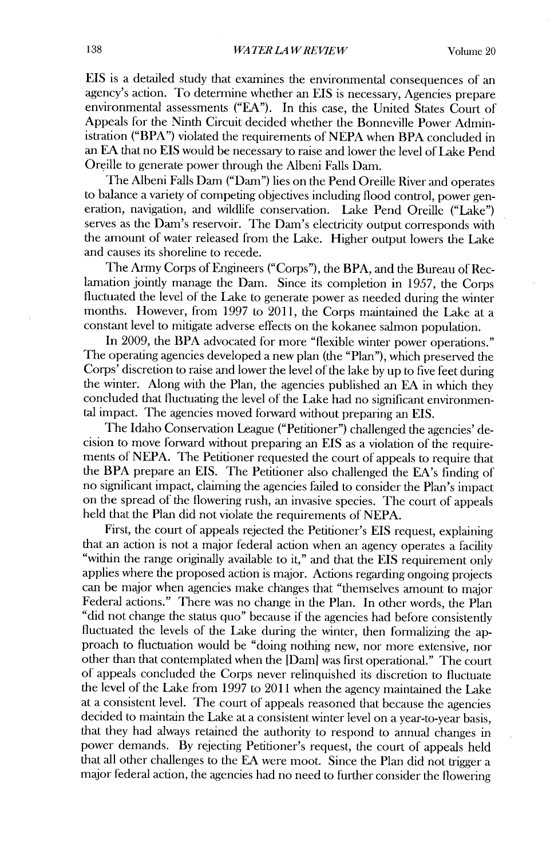**EIS** is a detailed study that examines the environmental consequences of an agency's action. To determine whether an **EIS** is necessary, Agencies prepare environmental assessments **("EA").** In this case, the United States Court **of** Appeals for the Ninth Circuit decided whether the Bonneville Power Administration ("BPA") violated the requirements of **NEPA** when BPA concluded in an **EA** that no **EIS** would be necessary to raise and lower the level of Lake Pend Oreille to generate power through the Albeni Falls Dam.

The Albeni Falls Dam ("Dam") lies on the Pend Oreille River and operates to balance a variety of competing objectives including flood control, power generation, navigation, and wildlife conservation. Lake Pend Oreille ("Lake") serves as the Dam's reservoir. The Dam's electricity output corresponds with the amount of water released from the Lake. Higher output lowers the Lake and causes its shoreline to recede.

The Army Corps of Engineers ("Corps"), the BPA, and the Bureau of Reclamation jointly manage the Dam. Since its completion in **1957,** the Corps fluctuated the level of the Lake to generate power as needed during the winter months. However, from **1997** to **2011,** the Corps maintained the Lake at a constant level to mitigate adverse effects on the kokanee salmon population.

In **2009,** the BPA advocated for more "flexible winter power operations." The operating agencies developed a new plan (the "Plan"), which preserved the Corps' discretion to raise and lower the level of the lake **by** up to five feet during the winter. Along with the Plan, the agencies published an **EA** in which they concluded that fluctuating the level of the Lake had no significant environmental impact. The agencies moved forward without preparing an **EIS.**

The Idaho Conservation League ("Petitioner") challenged the agencies' decision to move forward without preparing an **EIS** as a violation of the requirements of NEPA. The Petitioner requested the court of appeals to require that the BPA prepare an **EIS.** The Petitioner also challenged the EA's finding of no significant impact, claiming the agencies failed to consider the Plan's impact on the spread of the flowering rush, an invasive species. The court of appeals held that the Plan **did** not violate the requirements of **NEPA.**

First, the court of appeals rejected the Petitioner's **EIS** request, explaining that an action is not a major federal action when an agency operates a facility "within the range originally available to it," and that the **EIS** requirement only applies where the proposed action is major. Actions regarding ongoing projects can be major when agencies make changes that "themselves amount to major Federal actions." There was no change in the Plan. In other words, the Plan **"did** not change the status quo" because **if** the agencies had before consistently fluctuated the levels of the Lake during the winter, then formalizing the approach to fluctuation would be "doing nothing new, nor more extensive, nor other than that contemplated when the [Dam] was first operational." The court of appeals concluded the Corps never relinquished its discretion to fluctuate the level of the Lake from **1997** to 2011 when the agency maintained the Lake at a consistent level. The court of appeals reasoned that because the agencies decided to maintain the Lake at a consistent winter level on a year-to-year basis, that they had always retained the authority to respond to annual changes in power demands. **By** rejecting Petitioner's request, the court of appeals held that all other challenges to the **EA** were moot. Since the Plan **did** not trigger a major federal action, the agencies had no need to further consider the flowering